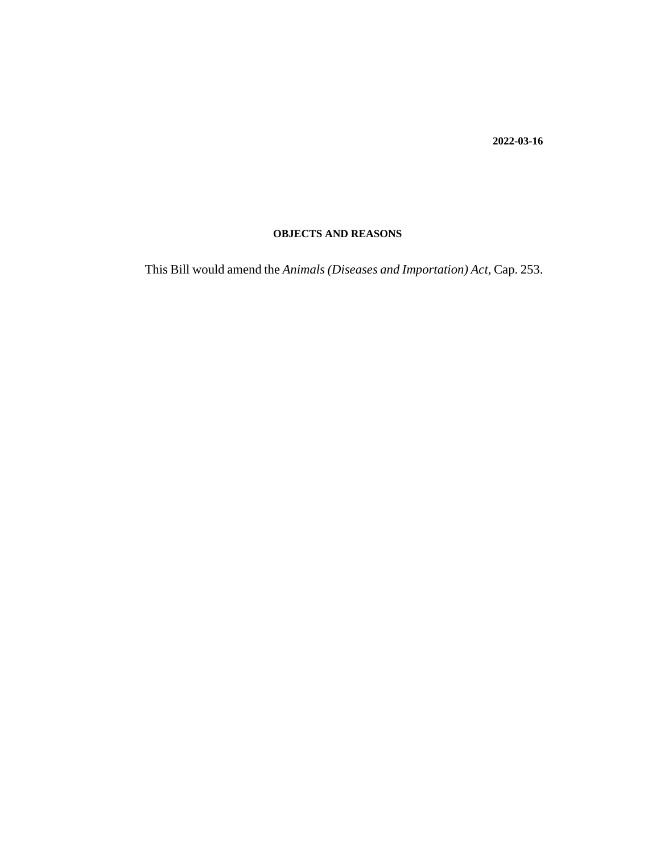**2022-03-16**

### **OBJECTS AND REASONS**

This Bill would amend the *Animals (Diseases and Importation) Act*, Cap. 253.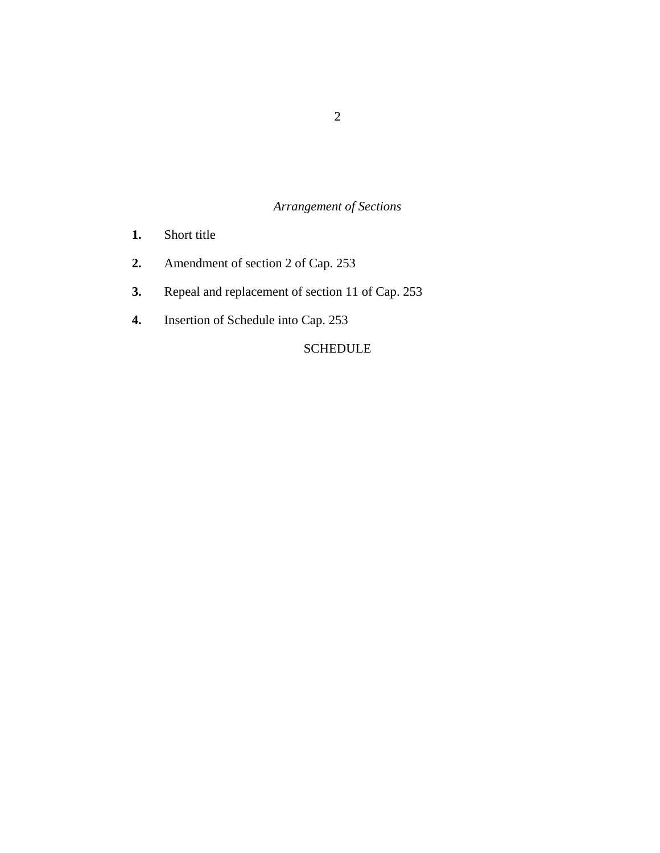# *Arrangement of Sections*

- [Short title](#page-2-0) **1.**
- [Amendment of section 2 of Cap. 253](#page-3-0) **2.**
- [Repeal and replacement of section 11 of Cap. 253](#page-3-0) **3.**
- [Insertion of Schedule into Cap. 253](#page-3-0) **4.**

## [SCHEDULE](#page-4-0)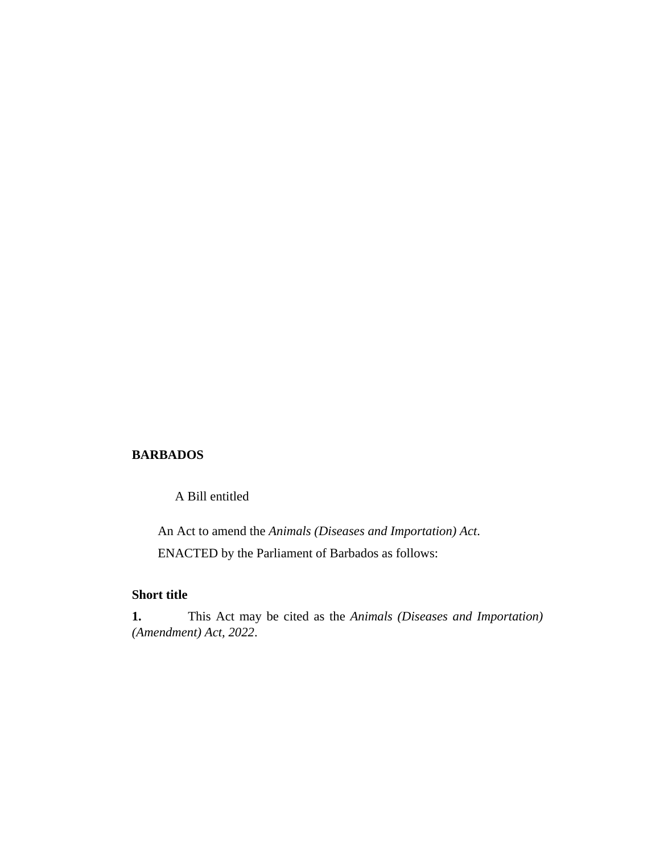#### <span id="page-2-0"></span>**BARBADOS**

A Bill entitled

An Act to amend the *Animals (Diseases and Importation) Act*. ENACTED by the Parliament of Barbados as follows:

### **Short title**

This Act may be cited as the *Animals (Diseases and Importation) (Amendment) Act, 2022*. **1.**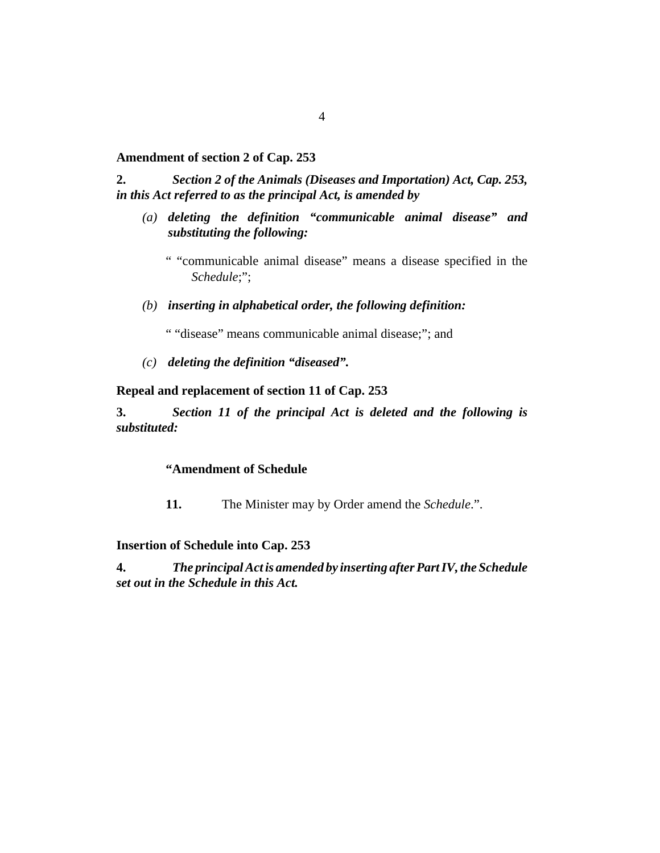#### <span id="page-3-0"></span>**Amendment of section 2 of Cap. 253**

*Section 2 of the [Animals \(Diseases and Importation\) Act, Cap. 253,](http://barbadosparliament-laws.com/en/showdoc/cs/253) in this Act referred to as the principal Act, is amended by* **2.**

*deleting the definition "communicable animal disease" and (a) substituting the following:*

" "communicable animal disease" means a disease specified in the *Schedule*;";

*inserting in alphabetical order, the following definition: (b)*

" "disease" means communicable animal disease;"; and

*deleting the definition "diseased". (c)*

### **Repeal and replacement of section 11 of Cap. 253**

*Section 11 of the principal Act is deleted and the following is substituted:* **3.**

### **"Amendment of Schedule**

**11.** The Minister may by Order amend the *Schedule*.".

#### **Insertion of Schedule into Cap. 253**

*The principal Act is amended by inserting after Part IV, the Schedule set out in the Schedule in this Act.* **4.**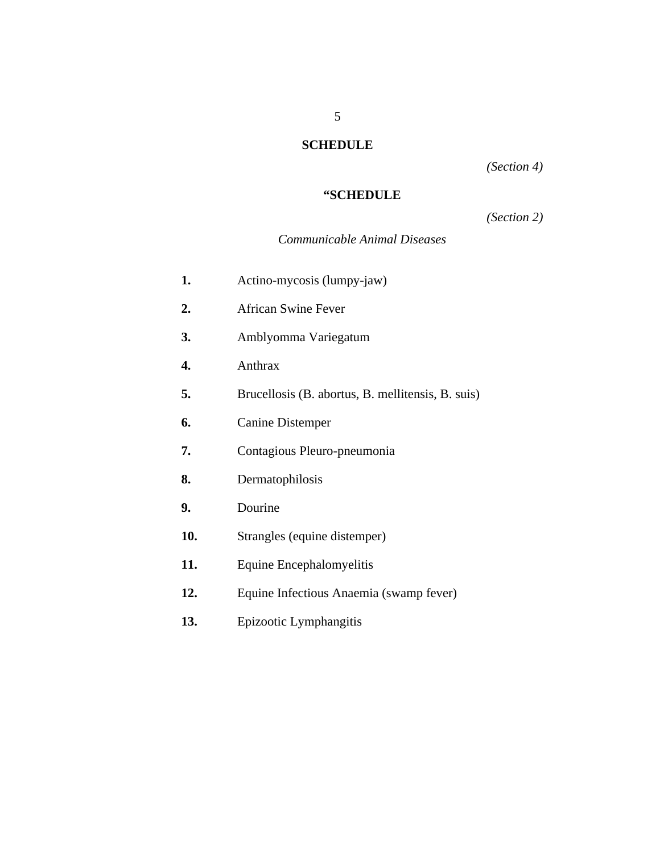# **SCHEDULE**

*(Section 4)*

## **"SCHEDULE**

# *(Section 2)*

## *Communicable Animal Diseases*

<span id="page-4-0"></span>

| 1.  | Actino-mycosis (lumpy-jaw)                        |
|-----|---------------------------------------------------|
| 2.  | <b>African Swine Fever</b>                        |
| 3.  | Amblyomma Variegatum                              |
| 4.  | Anthrax                                           |
| 5.  | Brucellosis (B. abortus, B. mellitensis, B. suis) |
| 6.  | <b>Canine Distemper</b>                           |
| 7.  | Contagious Pleuro-pneumonia                       |
| 8.  | Dermatophilosis                                   |
| 9.  | Dourine                                           |
| 10. | Strangles (equine distemper)                      |
| 11. | Equine Encephalomyelitis                          |
| 12. | Equine Infectious Anaemia (swamp fever)           |
| 13. | Epizootic Lymphangitis                            |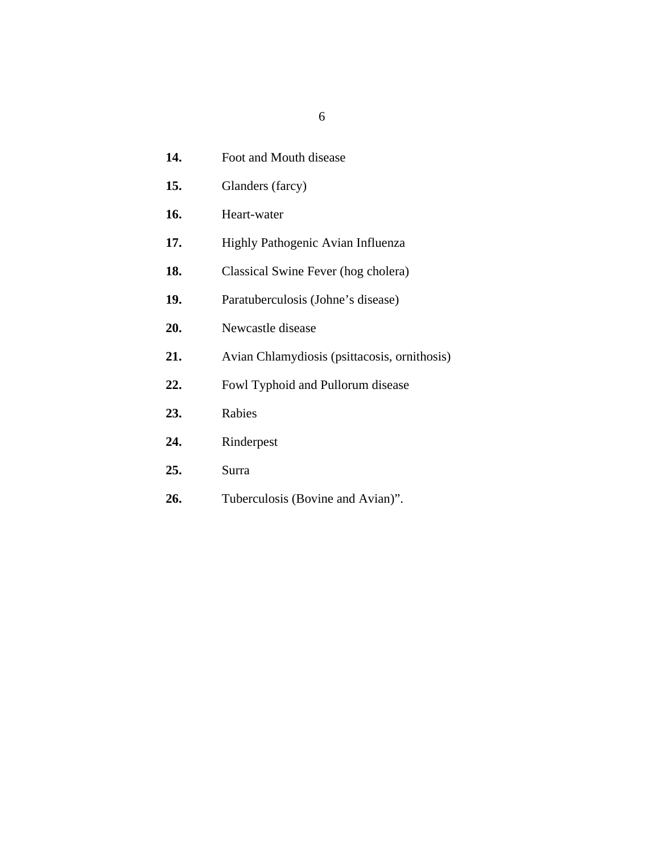- Foot and Mouth disease **14.**
- Glanders (farcy) **15.**
- Heart-water **16.**
- Highly Pathogenic Avian Influenza **17.**
- Classical Swine Fever (hog cholera) **18.**
- Paratuberculosis (Johne's disease) **19.**
- Newcastle disease **20.**
- Avian Chlamydiosis (psittacosis, ornithosis) **21.**
- Fowl Typhoid and Pullorum disease **22.**
- Rabies **23.**
- Rinderpest **24.**
- Surra **25.**
- Tuberculosis (Bovine and Avian)". **26.**